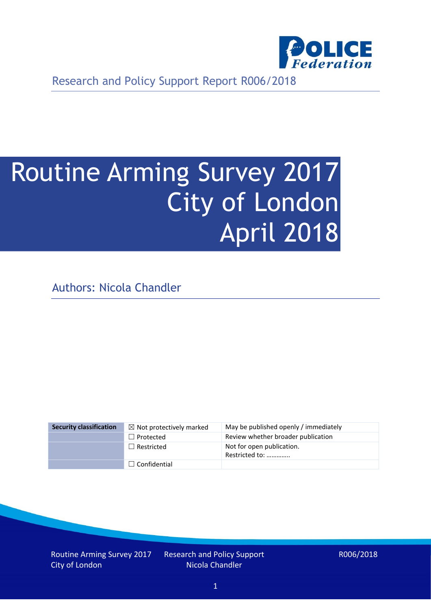

Research and Policy Support Report R006/2018

# Routine Arming Survey 2017 City of London April 2018

Authors: Nicola Chandler

| <b>Security classification</b> | $\boxtimes$ Not protectively marked | May be published openly / immediately       |
|--------------------------------|-------------------------------------|---------------------------------------------|
|                                | $\Box$ Protected                    | Review whether broader publication          |
|                                | $\Box$ Restricted                   | Not for open publication.<br>Restricted to: |
|                                | $\Box$ Confidential                 |                                             |

Routine Arming Survey 2017 City of London

Research and Policy Support Nicola Chandler

R006/2018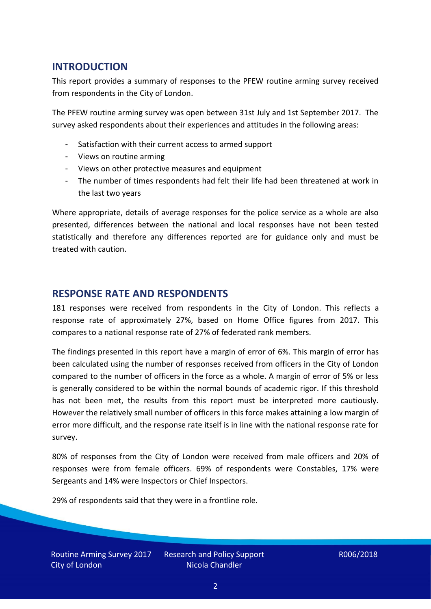# **INTRODUCTION**

This report provides a summary of responses to the PFEW routine arming survey received from respondents in the City of London.

The PFEW routine arming survey was open between 31st July and 1st September 2017. The survey asked respondents about their experiences and attitudes in the following areas:

- Satisfaction with their current access to armed support
- Views on routine arming
- Views on other protective measures and equipment
- The number of times respondents had felt their life had been threatened at work in the last two years

Where appropriate, details of average responses for the police service as a whole are also presented, differences between the national and local responses have not been tested statistically and therefore any differences reported are for guidance only and must be treated with caution.

### **RESPONSE RATE AND RESPONDENTS**

181 responses were received from respondents in the City of London. This reflects a response rate of approximately 27%, based on Home Office figures from 2017. This compares to a national response rate of 27% of federated rank members.

The findings presented in this report have a margin of error of 6%. This margin of error has been calculated using the number of responses received from officers in the City of London compared to the number of officers in the force as a whole. A margin of error of 5% or less is generally considered to be within the normal bounds of academic rigor. If this threshold has not been met, the results from this report must be interpreted more cautiously. However the relatively small number of officers in this force makes attaining a low margin of error more difficult, and the response rate itself is in line with the national response rate for survey.

80% of responses from the City of London were received from male officers and 20% of responses were from female officers. 69% of respondents were Constables, 17% were Sergeants and 14% were Inspectors or Chief Inspectors.

29% of respondents said that they were in a frontline role.

Routine Arming Survey 2017 City of London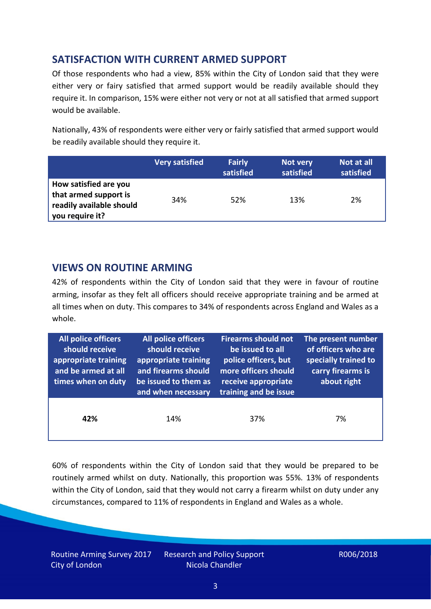# **SATISFACTION WITH CURRENT ARMED SUPPORT**

Of those respondents who had a view, 85% within the City of London said that they were either very or fairy satisfied that armed support would be readily available should they require it. In comparison, 15% were either not very or not at all satisfied that armed support would be available.

Nationally, 43% of respondents were either very or fairly satisfied that armed support would be readily available should they require it.

|                                                                                               | <b>Very satisfied</b> | <b>Fairly</b><br>satisfied | Not very<br>satisfied | Not at all<br>satisfied |
|-----------------------------------------------------------------------------------------------|-----------------------|----------------------------|-----------------------|-------------------------|
| How satisfied are you<br>that armed support is<br>readily available should<br>you require it? | 34%                   | 52%                        | 13%                   | 2%                      |

## **VIEWS ON ROUTINE ARMING**

42% of respondents within the City of London said that they were in favour of routine arming, insofar as they felt all officers should receive appropriate training and be armed at all times when on duty. This compares to 34% of respondents across England and Wales as a whole.

| All police officers<br>should receive<br>appropriate training<br>and be armed at all<br>times when on duty | All police officers<br>should receive<br>appropriate training<br>and firearms should<br>be issued to them as<br>and when necessary | <b>Firearms should not</b><br>be issued to all<br>police officers, but<br>more officers should<br>receive appropriate<br>training and be issue | The present number<br>of officers who are<br>specially trained to<br>carry firearms is<br>about right |
|------------------------------------------------------------------------------------------------------------|------------------------------------------------------------------------------------------------------------------------------------|------------------------------------------------------------------------------------------------------------------------------------------------|-------------------------------------------------------------------------------------------------------|
| 42%                                                                                                        | 14%                                                                                                                                | 37%                                                                                                                                            | 7%                                                                                                    |

60% of respondents within the City of London said that they would be prepared to be routinely armed whilst on duty. Nationally, this proportion was 55%. 13% of respondents within the City of London, said that they would not carry a firearm whilst on duty under any circumstances, compared to 11% of respondents in England and Wales as a whole.

Routine Arming Survey 2017 City of London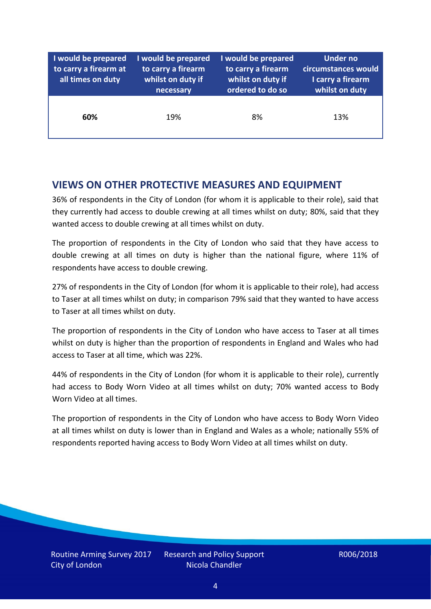| I would be prepared<br>to carry a firearm at<br>all times on duty | I would be prepared<br>to carry a firearm<br>whilst on duty if<br>necessary | I would be prepared<br>to carry a firearm<br>whilst on duty if<br>ordered to do so | Under no<br>circumstances would<br>I carry a firearm<br>whilst on duty |
|-------------------------------------------------------------------|-----------------------------------------------------------------------------|------------------------------------------------------------------------------------|------------------------------------------------------------------------|
| 60%                                                               | 19%                                                                         | 8%                                                                                 | 13%                                                                    |

## **VIEWS ON OTHER PROTECTIVE MEASURES AND EQUIPMENT**

36% of respondents in the City of London (for whom it is applicable to their role), said that they currently had access to double crewing at all times whilst on duty; 80%, said that they wanted access to double crewing at all times whilst on duty.

The proportion of respondents in the City of London who said that they have access to double crewing at all times on duty is higher than the national figure, where 11% of respondents have access to double crewing.

27% of respondents in the City of London (for whom it is applicable to their role), had access to Taser at all times whilst on duty; in comparison 79% said that they wanted to have access to Taser at all times whilst on duty.

The proportion of respondents in the City of London who have access to Taser at all times whilst on duty is higher than the proportion of respondents in England and Wales who had access to Taser at all time, which was 22%.

44% of respondents in the City of London (for whom it is applicable to their role), currently had access to Body Worn Video at all times whilst on duty; 70% wanted access to Body Worn Video at all times.

The proportion of respondents in the City of London who have access to Body Worn Video at all times whilst on duty is lower than in England and Wales as a whole; nationally 55% of respondents reported having access to Body Worn Video at all times whilst on duty.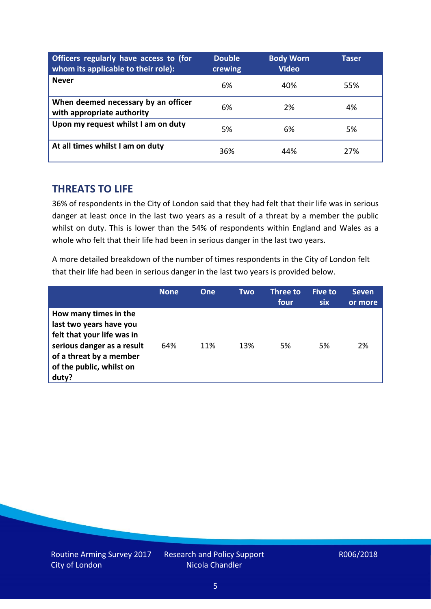| Officers regularly have access to (for<br>whom its applicable to their role): | <b>Double</b><br>crewing | <b>Body Worn</b><br><b>Video</b> | <b>Taser</b> |
|-------------------------------------------------------------------------------|--------------------------|----------------------------------|--------------|
| <b>Never</b>                                                                  | 6%                       | 40%                              | 55%          |
| When deemed necessary by an officer<br>with appropriate authority             | 6%                       | 2%                               | 4%           |
| Upon my request whilst I am on duty                                           | 5%                       | 6%                               | 5%           |
| At all times whilst I am on duty                                              | 36%                      | 44%                              | 27%          |

### **THREATS TO LIFE**

36% of respondents in the City of London said that they had felt that their life was in serious danger at least once in the last two years as a result of a threat by a member the public whilst on duty. This is lower than the 54% of respondents within England and Wales as a whole who felt that their life had been in serious danger in the last two years.

A more detailed breakdown of the number of times respondents in the City of London felt that their life had been in serious danger in the last two years is provided below.

|                                                                                                                                                                              | <b>None</b> | <b>One</b> | Two | Three to<br>four | <b>Five to</b><br><b>six</b> | <b>Seven</b><br>or more |
|------------------------------------------------------------------------------------------------------------------------------------------------------------------------------|-------------|------------|-----|------------------|------------------------------|-------------------------|
| How many times in the<br>last two years have you<br>felt that your life was in<br>serious danger as a result<br>of a threat by a member<br>of the public, whilst on<br>duty? | 64%         | 11%        | 13% | 5%               | 5%                           | 2%                      |

Routine Arming Survey 2017 City of London